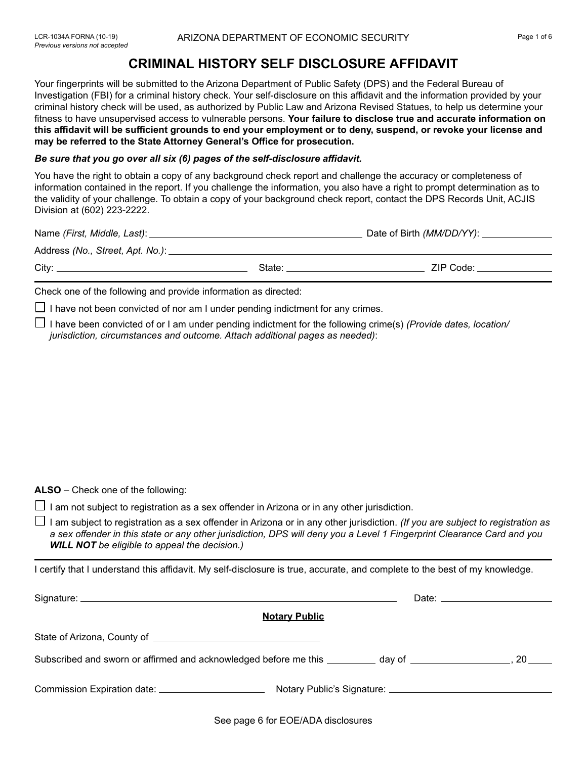## **CRIMINAL HISTORY SELF DISCLOSURE AFFIDAVIT**

Your fingerprints will be submitted to the Arizona Department of Public Safety (DPS) and the Federal Bureau of Investigation (FBI) for a criminal history check. Your self-disclosure on this affidavit and the information provided by your criminal history check will be used, as authorized by Public Law and Arizona Revised Statues, to help us determine your fitness to have unsupervised access to vulnerable persons. **Your failure to disclose true and accurate information on this affidavit will be sufficient grounds to end your employment or to deny, suspend, or revoke your license and may be referred to the State Attorney General's Office for prosecution.**

## *Be sure that you go over all six (6) pages of the self-disclosure affidavit.*

You have the right to obtain a copy of any background check report and challenge the accuracy or completeness of information contained in the report. If you challenge the information, you also have a right to prompt determination as to the validity of your challenge. To obtain a copy of your background check report, contact the DPS Records Unit, ACJIS Division at (602) 223-2222.

| Name (First, Middle, Last): _       |        |           |
|-------------------------------------|--------|-----------|
| Address (No., Street, Apt. No.): __ |        |           |
| City:                               | State: | ZIP Code: |
|                                     |        |           |

Check one of the following and provide information as directed:

 $\Box$  I have not been convicted of nor am I under pending indictment for any crimes.

I have been convicted of or I am under pending indictment for the following crime(s) *(Provide dates, location/ jurisdiction, circumstances and outcome. Attach additional pages as needed)*:

**ALSO** – Check one of the following:

 $\Box$  I am not subject to registration as a sex offender in Arizona or in any other jurisdiction.

I am subject to registration as a sex offender in Arizona or in any other jurisdiction. *(If you are subject to registration as a sex offender in this state or any other jurisdiction, DPS will deny you a Level 1 Fingerprint Clearance Card and you WILL NOT be eligible to appeal the decision.)* 

I certify that I understand this affidavit. My self-disclosure is true, accurate, and complete to the best of my knowledge.

|                                                                                                                     | Date: the contract of the contract of the contract of the contract of the contract of the contract of the contract of the contract of the contract of the contract of the contract of the contract of the contract of the cont |
|---------------------------------------------------------------------------------------------------------------------|--------------------------------------------------------------------------------------------------------------------------------------------------------------------------------------------------------------------------------|
| <b>Notary Public</b>                                                                                                |                                                                                                                                                                                                                                |
|                                                                                                                     |                                                                                                                                                                                                                                |
| Subscribed and sworn or affirmed and acknowledged before me this __________ day of ______________________, 20 _____ |                                                                                                                                                                                                                                |
|                                                                                                                     |                                                                                                                                                                                                                                |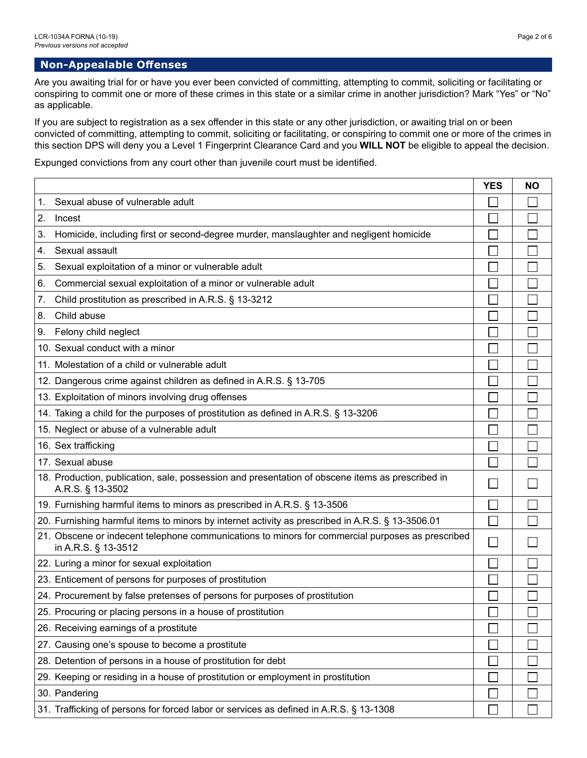## **Non-Appealable Offenses**

Are you awaiting trial for or have you ever been convicted of committing, attempting to commit, soliciting or facilitating or conspiring to commit one or more of these crimes in this state or a similar crime in another jurisdiction? Mark "Yes" or "No" as applicable.

If you are subject to registration as a sex offender in this state or any other jurisdiction, or awaiting trial on or been convicted of committing, attempting to commit, soliciting or facilitating, or conspiring to commit one or more of the crimes in this section DPS will deny you a Level 1 Fingerprint Clearance Card and you **WILL NOT** be eligible to appeal the decision.

Expunged convictions from any court other than juvenile court must be identified.

|                                                                                                                         | <b>YES</b> | <b>NO</b> |
|-------------------------------------------------------------------------------------------------------------------------|------------|-----------|
| Sexual abuse of vulnerable adult<br>1.                                                                                  |            |           |
| 2.<br>Incest                                                                                                            |            |           |
| Homicide, including first or second-degree murder, manslaughter and negligent homicide<br>3.                            |            |           |
| Sexual assault<br>4.                                                                                                    |            |           |
| Sexual exploitation of a minor or vulnerable adult<br>5.                                                                |            |           |
| Commercial sexual exploitation of a minor or vulnerable adult<br>6.                                                     |            |           |
| Child prostitution as prescribed in A.R.S. § 13-3212<br>7.                                                              |            |           |
| Child abuse<br>8.                                                                                                       |            |           |
| Felony child neglect<br>9.                                                                                              |            |           |
| 10. Sexual conduct with a minor                                                                                         |            |           |
| 11. Molestation of a child or vulnerable adult                                                                          |            |           |
| 12. Dangerous crime against children as defined in A.R.S. § 13-705                                                      |            |           |
| 13. Exploitation of minors involving drug offenses                                                                      |            |           |
| 14. Taking a child for the purposes of prostitution as defined in A.R.S. § 13-3206                                      |            |           |
| 15. Neglect or abuse of a vulnerable adult                                                                              |            |           |
| 16. Sex trafficking                                                                                                     |            |           |
| 17. Sexual abuse                                                                                                        |            |           |
| 18. Production, publication, sale, possession and presentation of obscene items as prescribed in<br>A.R.S. § 13-3502    |            |           |
| 19. Furnishing harmful items to minors as prescribed in A.R.S. § 13-3506                                                |            |           |
| 20. Furnishing harmful items to minors by internet activity as prescribed in A.R.S. § 13-3506.01                        |            |           |
| 21. Obscene or indecent telephone communications to minors for commercial purposes as prescribed<br>in A.R.S. § 13-3512 |            |           |
| 22. Luring a minor for sexual exploitation                                                                              |            |           |
| 23. Enticement of persons for purposes of prostitution                                                                  |            |           |
| 24. Procurement by false pretenses of persons for purposes of prostitution                                              |            |           |
| 25. Procuring or placing persons in a house of prostitution                                                             | $\Box$     |           |
| 26. Receiving earnings of a prostitute                                                                                  |            |           |
| 27. Causing one's spouse to become a prostitute                                                                         |            |           |
| 28. Detention of persons in a house of prostitution for debt                                                            |            |           |
| 29. Keeping or residing in a house of prostitution or employment in prostitution                                        |            |           |
| 30. Pandering                                                                                                           |            |           |
| 31. Trafficking of persons for forced labor or services as defined in A.R.S. § 13-1308                                  |            |           |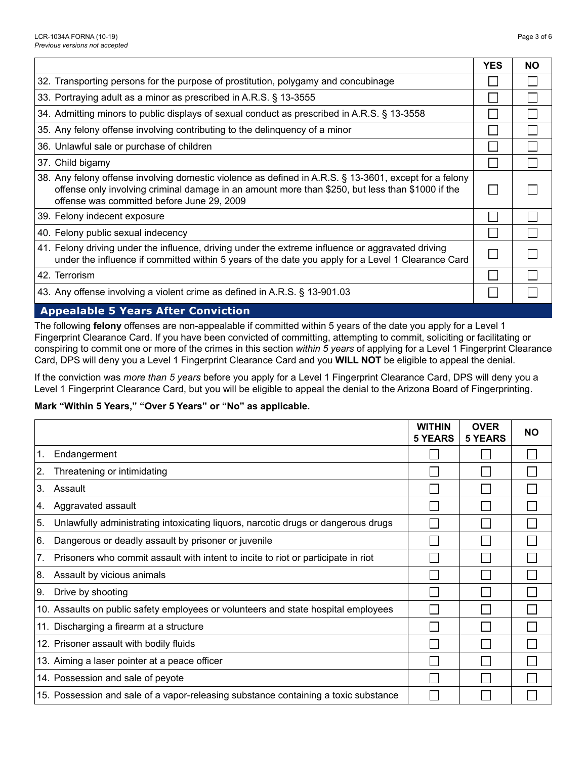|                                                                                                                                                                                                                                                          | <b>YES</b> | <b>NO</b> |  |
|----------------------------------------------------------------------------------------------------------------------------------------------------------------------------------------------------------------------------------------------------------|------------|-----------|--|
| 32. Transporting persons for the purpose of prostitution, polygamy and concubinage                                                                                                                                                                       |            |           |  |
| 33. Portraying adult as a minor as prescribed in A.R.S. § 13-3555                                                                                                                                                                                        |            |           |  |
| 34. Admitting minors to public displays of sexual conduct as prescribed in A.R.S. § 13-3558                                                                                                                                                              |            |           |  |
| 35. Any felony offense involving contributing to the delinguency of a minor                                                                                                                                                                              |            |           |  |
| 36. Unlawful sale or purchase of children                                                                                                                                                                                                                |            |           |  |
| 37. Child bigamy                                                                                                                                                                                                                                         |            |           |  |
| 38. Any felony offense involving domestic violence as defined in A.R.S. § 13-3601, except for a felony<br>offense only involving criminal damage in an amount more than \$250, but less than \$1000 if the<br>offense was committed before June 29, 2009 |            |           |  |
| 39. Felony indecent exposure                                                                                                                                                                                                                             |            |           |  |
| 40. Felony public sexual indecency                                                                                                                                                                                                                       |            |           |  |
| 41. Felony driving under the influence, driving under the extreme influence or aggravated driving<br>under the influence if committed within 5 years of the date you apply for a Level 1 Clearance Card                                                  | $\Box$     |           |  |
| 42. Terrorism                                                                                                                                                                                                                                            |            |           |  |
| 43. Any offense involving a violent crime as defined in A.R.S. § 13-901.03                                                                                                                                                                               |            |           |  |
| <b>Appealable 5 Years After Conviction</b>                                                                                                                                                                                                               |            |           |  |

The following **felony** offenses are non-appealable if committed within 5 years of the date you apply for a Level 1 Fingerprint Clearance Card. If you have been convicted of committing, attempting to commit, soliciting or facilitating or conspiring to commit one or more of the crimes in this section *within 5 years* of applying for a Level 1 Fingerprint Clearance Card, DPS will deny you a Level 1 Fingerprint Clearance Card and you **WILL NOT** be eligible to appeal the denial.

If the conviction was *more than 5 years* before you apply for a Level 1 Fingerprint Clearance Card, DPS will deny you a Level 1 Fingerprint Clearance Card, but you will be eligible to appeal the denial to the Arizona Board of Fingerprinting.

## **Mark "Within 5 Years," "Over 5 Years" or "No" as applicable.**

|                                                                                                     | <b>WITHIN</b><br><b>5 YEARS</b> | <b>OVER</b><br>5 YEARS | <b>NO</b> |
|-----------------------------------------------------------------------------------------------------|---------------------------------|------------------------|-----------|
| 1.<br>Endangerment                                                                                  |                                 |                        |           |
| 2.<br>Threatening or intimidating                                                                   |                                 |                        |           |
| 3.<br>Assault                                                                                       |                                 |                        |           |
| Aggravated assault<br>4.                                                                            |                                 |                        |           |
| 5.<br>Unlawfully administrating intoxicating liquors, narcotic drugs or dangerous drugs             |                                 |                        |           |
| 6.<br>Dangerous or deadly assault by prisoner or juvenile                                           |                                 |                        |           |
| 7 <sub>1</sub><br>Prisoners who commit assault with intent to incite to riot or participate in riot |                                 |                        |           |
| 8.<br>Assault by vicious animals                                                                    |                                 |                        |           |
| 9.<br>Drive by shooting                                                                             |                                 |                        |           |
| 10. Assaults on public safety employees or volunteers and state hospital employees                  |                                 |                        |           |
| 11. Discharging a firearm at a structure                                                            |                                 |                        |           |
| 12. Prisoner assault with bodily fluids                                                             |                                 |                        |           |
| 13. Aiming a laser pointer at a peace officer                                                       |                                 |                        |           |
| 14. Possession and sale of peyote                                                                   |                                 |                        |           |
| 15. Possession and sale of a vapor-releasing substance containing a toxic substance                 |                                 |                        |           |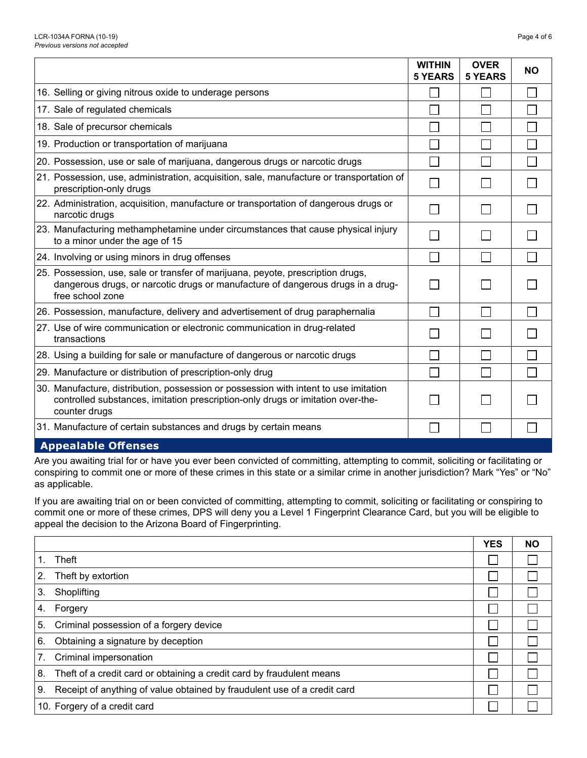|                                                                                                                                                                                          | <b>WITHIN</b><br><b>5 YEARS</b> | <b>OVER</b><br><b>5 YEARS</b> | <b>NO</b>     |
|------------------------------------------------------------------------------------------------------------------------------------------------------------------------------------------|---------------------------------|-------------------------------|---------------|
| 16. Selling or giving nitrous oxide to underage persons                                                                                                                                  |                                 |                               |               |
| 17. Sale of regulated chemicals                                                                                                                                                          | $\mathbf{I}$                    |                               | ×.            |
| 18. Sale of precursor chemicals                                                                                                                                                          |                                 |                               |               |
| 19. Production or transportation of marijuana                                                                                                                                            | $\Box$                          |                               |               |
| 20. Possession, use or sale of marijuana, dangerous drugs or narcotic drugs                                                                                                              | $\Box$                          |                               |               |
| 21. Possession, use, administration, acquisition, sale, manufacture or transportation of<br>prescription-only drugs                                                                      | П                               |                               |               |
| 22. Administration, acquisition, manufacture or transportation of dangerous drugs or<br>narcotic drugs                                                                                   |                                 |                               |               |
| 23. Manufacturing methamphetamine under circumstances that cause physical injury<br>to a minor under the age of 15                                                                       |                                 |                               |               |
| 24. Involving or using minors in drug offenses                                                                                                                                           | $\Box$                          |                               |               |
| 25. Possession, use, sale or transfer of marijuana, peyote, prescription drugs,<br>dangerous drugs, or narcotic drugs or manufacture of dangerous drugs in a drug-<br>free school zone   | $\Box$                          |                               |               |
| 26. Possession, manufacture, delivery and advertisement of drug paraphernalia                                                                                                            | $\Box$                          | $\mathbf{I}$                  | $\mathcal{L}$ |
| 27. Use of wire communication or electronic communication in drug-related<br>transactions                                                                                                |                                 |                               |               |
| 28. Using a building for sale or manufacture of dangerous or narcotic drugs                                                                                                              |                                 |                               |               |
| 29. Manufacture or distribution of prescription-only drug                                                                                                                                | $\Box$                          |                               | $\Box$        |
| 30. Manufacture, distribution, possession or possession with intent to use imitation<br>controlled substances, imitation prescription-only drugs or imitation over-the-<br>counter drugs |                                 |                               |               |
| 31. Manufacture of certain substances and drugs by certain means                                                                                                                         | $\mathsf{L}$                    |                               |               |
| <b>Appealable Offenses</b>                                                                                                                                                               |                                 |                               |               |

Are you awaiting trial for or have you ever been convicted of committing, attempting to commit, soliciting or facilitating or conspiring to commit one or more of these crimes in this state or a similar crime in another jurisdiction? Mark "Yes" or "No" as applicable.

If you are awaiting trial on or been convicted of committing, attempting to commit, soliciting or facilitating or conspiring to commit one or more of these crimes, DPS will deny you a Level 1 Fingerprint Clearance Card, but you will be eligible to appeal the decision to the Arizona Board of Fingerprinting.

|    |                                                                          | <b>YES</b> | <b>NO</b> |
|----|--------------------------------------------------------------------------|------------|-----------|
|    | Theft                                                                    |            |           |
| 2. | Theft by extortion                                                       |            |           |
| 3. | Shoplifting                                                              |            |           |
| 4. | Forgery                                                                  |            |           |
| 5. | Criminal possession of a forgery device                                  |            |           |
| 6. | Obtaining a signature by deception                                       |            |           |
| 7. | Criminal impersonation                                                   |            |           |
| 8. | Theft of a credit card or obtaining a credit card by fraudulent means    |            |           |
| 9. | Receipt of anything of value obtained by fraudulent use of a credit card |            |           |
|    | 10. Forgery of a credit card                                             |            |           |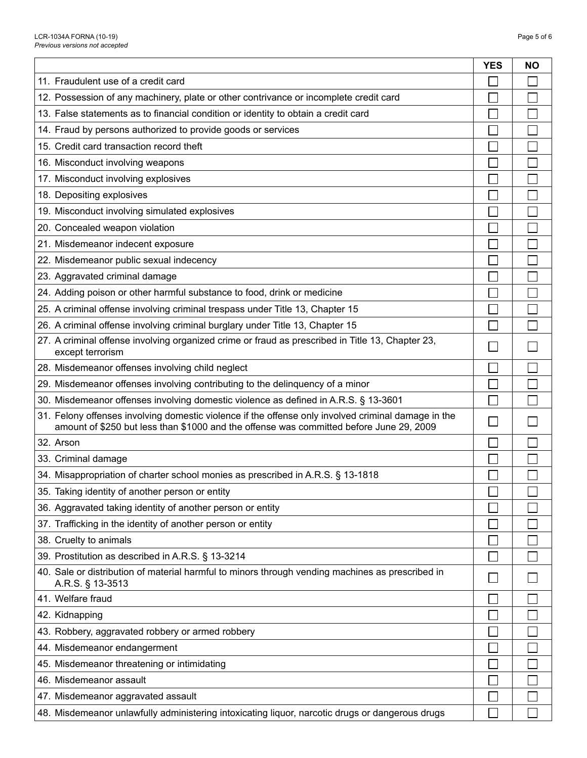$\Gamma$ 

|                                                                                                                                                                                                | <b>YES</b> | <b>NO</b> |
|------------------------------------------------------------------------------------------------------------------------------------------------------------------------------------------------|------------|-----------|
| 11. Fraudulent use of a credit card                                                                                                                                                            |            |           |
| 12. Possession of any machinery, plate or other contrivance or incomplete credit card                                                                                                          |            |           |
| 13. False statements as to financial condition or identity to obtain a credit card                                                                                                             |            |           |
| 14. Fraud by persons authorized to provide goods or services                                                                                                                                   |            |           |
| 15. Credit card transaction record theft                                                                                                                                                       |            |           |
| 16. Misconduct involving weapons                                                                                                                                                               |            |           |
| 17. Misconduct involving explosives                                                                                                                                                            |            |           |
| 18. Depositing explosives                                                                                                                                                                      |            |           |
| 19. Misconduct involving simulated explosives                                                                                                                                                  |            |           |
| 20. Concealed weapon violation                                                                                                                                                                 |            |           |
| 21. Misdemeanor indecent exposure                                                                                                                                                              |            |           |
| 22. Misdemeanor public sexual indecency                                                                                                                                                        |            |           |
| 23. Aggravated criminal damage                                                                                                                                                                 |            |           |
| 24. Adding poison or other harmful substance to food, drink or medicine                                                                                                                        |            |           |
| 25. A criminal offense involving criminal trespass under Title 13, Chapter 15                                                                                                                  |            |           |
| 26. A criminal offense involving criminal burglary under Title 13, Chapter 15                                                                                                                  |            |           |
| 27. A criminal offense involving organized crime or fraud as prescribed in Title 13, Chapter 23,<br>except terrorism                                                                           |            |           |
| 28. Misdemeanor offenses involving child neglect                                                                                                                                               |            | L         |
| 29. Misdemeanor offenses involving contributing to the delinquency of a minor                                                                                                                  |            | Г         |
| 30. Misdemeanor offenses involving domestic violence as defined in A.R.S. § 13-3601                                                                                                            |            |           |
| 31. Felony offenses involving domestic violence if the offense only involved criminal damage in the<br>amount of \$250 but less than \$1000 and the offense was committed before June 29, 2009 |            |           |
| 32. Arson                                                                                                                                                                                      |            |           |
| 33. Criminal damage                                                                                                                                                                            |            |           |
| 34. Misappropriation of charter school monies as prescribed in A.R.S. § 13-1818                                                                                                                |            |           |
| 35. Taking identity of another person or entity                                                                                                                                                | $\Box$     | $\Box$    |
| 36. Aggravated taking identity of another person or entity                                                                                                                                     |            |           |
| 37. Trafficking in the identity of another person or entity                                                                                                                                    |            |           |
| 38. Cruelty to animals                                                                                                                                                                         |            |           |
| 39. Prostitution as described in A.R.S. § 13-3214                                                                                                                                              |            |           |
| 40. Sale or distribution of material harmful to minors through vending machines as prescribed in<br>A.R.S. § 13-3513                                                                           |            |           |
| 41. Welfare fraud                                                                                                                                                                              |            |           |
| 42. Kidnapping                                                                                                                                                                                 |            |           |
| 43. Robbery, aggravated robbery or armed robbery                                                                                                                                               |            |           |
| 44. Misdemeanor endangerment                                                                                                                                                                   |            |           |
| 45. Misdemeanor threatening or intimidating                                                                                                                                                    |            |           |
| 46. Misdemeanor assault                                                                                                                                                                        |            |           |
| 47. Misdemeanor aggravated assault                                                                                                                                                             |            |           |
| 48. Misdemeanor unlawfully administering intoxicating liquor, narcotic drugs or dangerous drugs                                                                                                |            |           |